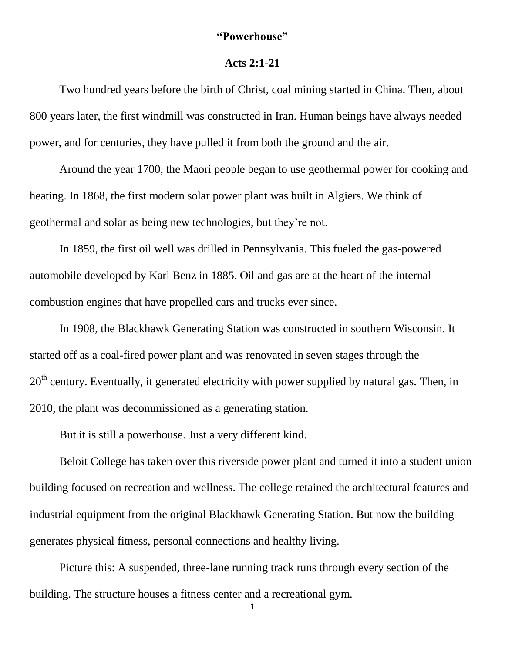## **"Powerhouse"**

## **Acts 2:1-21**

Two hundred years before the birth of Christ, coal mining started in China. Then, about 800 years later, the first windmill was constructed in Iran. Human beings have always needed power, and for centuries, they have pulled it from both the ground and the air.

Around the year 1700, the Maori people began to use geothermal power for cooking and heating. In 1868, the first modern solar power plant was built in Algiers. We think of geothermal and solar as being new technologies, but they're not.

In 1859, the first oil well was drilled in Pennsylvania. This fueled the gas-powered automobile developed by Karl Benz in 1885. Oil and gas are at the heart of the internal combustion engines that have propelled cars and trucks ever since.

In 1908, the Blackhawk Generating Station was constructed in southern Wisconsin. It started off as a coal-fired power plant and was renovated in seven stages through the  $20<sup>th</sup>$  century. Eventually, it generated electricity with power supplied by natural gas. Then, in 2010, the plant was decommissioned as a generating station.

But it is still a powerhouse. Just a very different kind.

Beloit College has taken over this riverside power plant and turned it into a student union building focused on recreation and wellness. The college retained the architectural features and industrial equipment from the original Blackhawk Generating Station. But now the building generates physical fitness, personal connections and healthy living.

Picture this: A suspended, three-lane running track runs through every section of the building. The structure houses a fitness center and a recreational gym.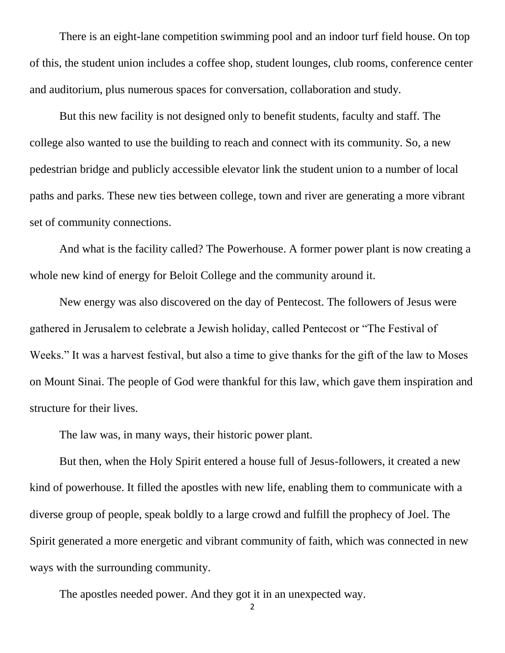There is an eight-lane competition swimming pool and an indoor turf field house. On top of this, the student union includes a coffee shop, student lounges, club rooms, conference center and auditorium, plus numerous spaces for conversation, collaboration and study.

But this new facility is not designed only to benefit students, faculty and staff. The college also wanted to use the building to reach and connect with its community. So, a new pedestrian bridge and publicly accessible elevator link the student union to a number of local paths and parks. These new ties between college, town and river are generating a more vibrant set of community connections.

And what is the facility called? The Powerhouse. A former power plant is now creating a whole new kind of energy for Beloit College and the community around it.

New energy was also discovered on the day of Pentecost. The followers of Jesus were gathered in Jerusalem to celebrate a Jewish holiday, called Pentecost or "The Festival of Weeks." It was a harvest festival, but also a time to give thanks for the gift of the law to Moses on Mount Sinai. The people of God were thankful for this law, which gave them inspiration and structure for their lives.

The law was, in many ways, their historic power plant.

But then, when the Holy Spirit entered a house full of Jesus-followers, it created a new kind of powerhouse. It filled the apostles with new life, enabling them to communicate with a diverse group of people, speak boldly to a large crowd and fulfill the prophecy of Joel. The Spirit generated a more energetic and vibrant community of faith, which was connected in new ways with the surrounding community.

The apostles needed power. And they got it in an unexpected way.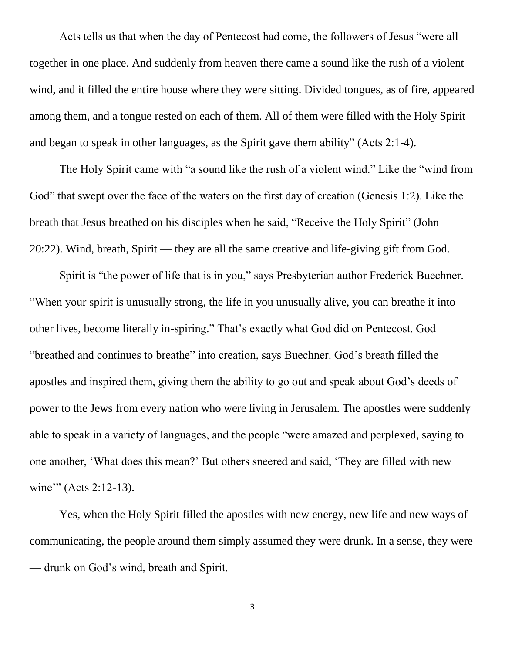Acts tells us that when the day of Pentecost had come, the followers of Jesus "were all together in one place. And suddenly from heaven there came a sound like the rush of a violent wind, and it filled the entire house where they were sitting. Divided tongues, as of fire, appeared among them, and a tongue rested on each of them. All of them were filled with the Holy Spirit and began to speak in other languages, as the Spirit gave them ability" (Acts 2:1-4).

The Holy Spirit came with "a sound like the rush of a violent wind." Like the "wind from God" that swept over the face of the waters on the first day of creation (Genesis 1:2). Like the breath that Jesus breathed on his disciples when he said, "Receive the Holy Spirit" (John 20:22). Wind, breath, Spirit — they are all the same creative and life-giving gift from God.

Spirit is "the power of life that is in you," says Presbyterian author Frederick Buechner. "When your spirit is unusually strong, the life in you unusually alive, you can breathe it into other lives, become literally in-spiring." That's exactly what God did on Pentecost. God "breathed and continues to breathe" into creation, says Buechner. God's breath filled the apostles and inspired them, giving them the ability to go out and speak about God's deeds of power to the Jews from every nation who were living in Jerusalem. The apostles were suddenly able to speak in a variety of languages, and the people "were amazed and perplexed, saying to one another, 'What does this mean?' But others sneered and said, 'They are filled with new wine" (Acts 2:12-13).

Yes, when the Holy Spirit filled the apostles with new energy, new life and new ways of communicating, the people around them simply assumed they were drunk. In a sense, they were — drunk on God's wind, breath and Spirit.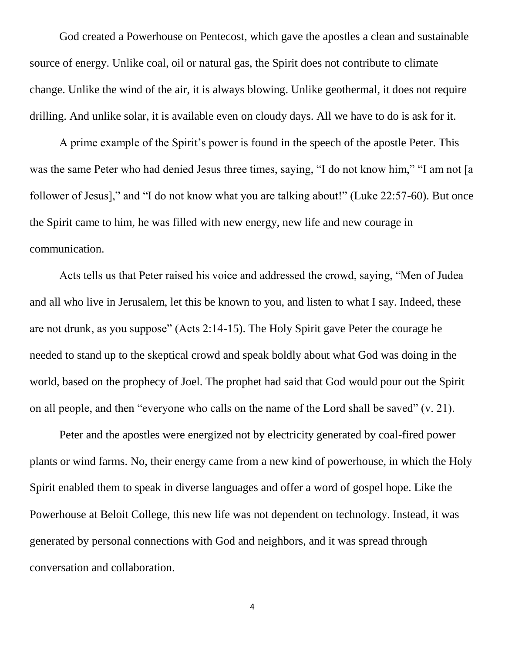God created a Powerhouse on Pentecost, which gave the apostles a clean and sustainable source of energy. Unlike coal, oil or natural gas, the Spirit does not contribute to climate change. Unlike the wind of the air, it is always blowing. Unlike geothermal, it does not require drilling. And unlike solar, it is available even on cloudy days. All we have to do is ask for it.

A prime example of the Spirit's power is found in the speech of the apostle Peter. This was the same Peter who had denied Jesus three times, saying, "I do not know him," "I am not [a follower of Jesus]," and "I do not know what you are talking about!" (Luke 22:57-60). But once the Spirit came to him, he was filled with new energy, new life and new courage in communication.

Acts tells us that Peter raised his voice and addressed the crowd, saying, "Men of Judea and all who live in Jerusalem, let this be known to you, and listen to what I say. Indeed, these are not drunk, as you suppose" (Acts 2:14-15). The Holy Spirit gave Peter the courage he needed to stand up to the skeptical crowd and speak boldly about what God was doing in the world, based on the prophecy of Joel. The prophet had said that God would pour out the Spirit on all people, and then "everyone who calls on the name of the Lord shall be saved" (v. 21).

Peter and the apostles were energized not by electricity generated by coal-fired power plants or wind farms. No, their energy came from a new kind of powerhouse, in which the Holy Spirit enabled them to speak in diverse languages and offer a word of gospel hope. Like the Powerhouse at Beloit College, this new life was not dependent on technology. Instead, it was generated by personal connections with God and neighbors, and it was spread through conversation and collaboration.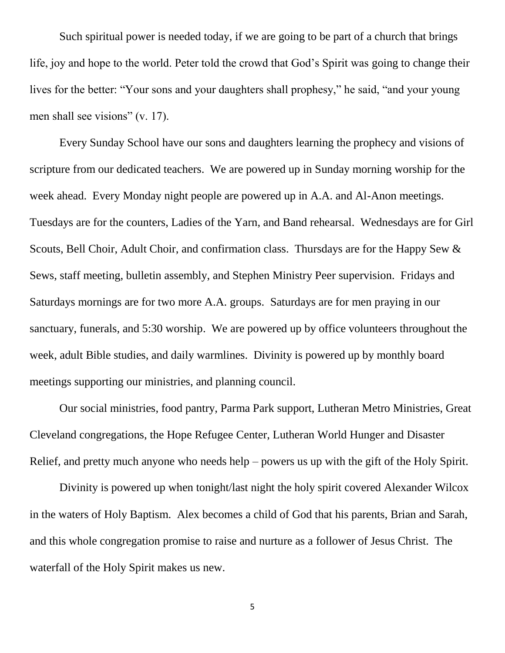Such spiritual power is needed today, if we are going to be part of a church that brings life, joy and hope to the world. Peter told the crowd that God's Spirit was going to change their lives for the better: "Your sons and your daughters shall prophesy," he said, "and your young men shall see visions" (v. 17).

Every Sunday School have our sons and daughters learning the prophecy and visions of scripture from our dedicated teachers. We are powered up in Sunday morning worship for the week ahead. Every Monday night people are powered up in A.A. and Al-Anon meetings. Tuesdays are for the counters, Ladies of the Yarn, and Band rehearsal. Wednesdays are for Girl Scouts, Bell Choir, Adult Choir, and confirmation class. Thursdays are for the Happy Sew & Sews, staff meeting, bulletin assembly, and Stephen Ministry Peer supervision. Fridays and Saturdays mornings are for two more A.A. groups. Saturdays are for men praying in our sanctuary, funerals, and 5:30 worship. We are powered up by office volunteers throughout the week, adult Bible studies, and daily warmlines. Divinity is powered up by monthly board meetings supporting our ministries, and planning council.

Our social ministries, food pantry, Parma Park support, Lutheran Metro Ministries, Great Cleveland congregations, the Hope Refugee Center, Lutheran World Hunger and Disaster Relief, and pretty much anyone who needs help – powers us up with the gift of the Holy Spirit.

Divinity is powered up when tonight/last night the holy spirit covered Alexander Wilcox in the waters of Holy Baptism. Alex becomes a child of God that his parents, Brian and Sarah, and this whole congregation promise to raise and nurture as a follower of Jesus Christ. The waterfall of the Holy Spirit makes us new.